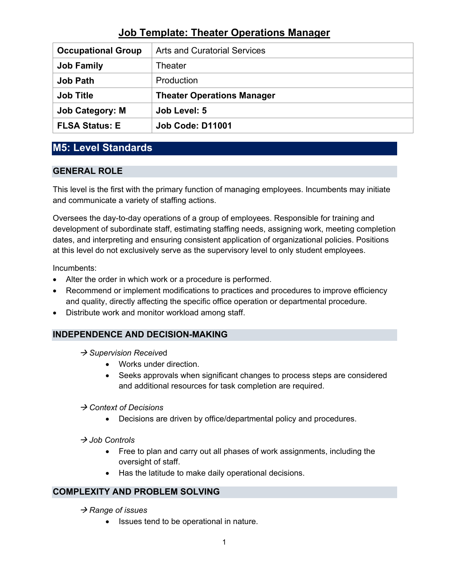| <b>Occupational Group</b> | <b>Arts and Curatorial Services</b> |
|---------------------------|-------------------------------------|
| <b>Job Family</b>         | Theater                             |
| <b>Job Path</b>           | Production                          |
| <b>Job Title</b>          | <b>Theater Operations Manager</b>   |
| <b>Job Category: M</b>    | Job Level: 5                        |
|                           |                                     |

## **M5: Level Standards**

### **GENERAL ROLE**

This level is the first with the primary function of managing employees. Incumbents may initiate and communicate a variety of staffing actions.

Oversees the day-to-day operations of a group of employees. Responsible for training and development of subordinate staff, estimating staffing needs, assigning work, meeting completion dates, and interpreting and ensuring consistent application of organizational policies. Positions at this level do not exclusively serve as the supervisory level to only student employees.

Incumbents:

- Alter the order in which work or a procedure is performed.
- Recommend or implement modifications to practices and procedures to improve efficiency and quality, directly affecting the specific office operation or departmental procedure.
- Distribute work and monitor workload among staff.

### **INDEPENDENCE AND DECISION-MAKING**

- **→ Supervision Received** 
	- Works under direction.
	- Seeks approvals when significant changes to process steps are considered and additional resources for task completion are required.

#### *Context of Decisions*

- Decisions are driven by office/departmental policy and procedures.
- → *Job Controls* 
	- Free to plan and carry out all phases of work assignments, including the oversight of staff.
	- Has the latitude to make daily operational decisions.

### **COMPLEXITY AND PROBLEM SOLVING**

#### → Range of *issues*

• Issues tend to be operational in nature.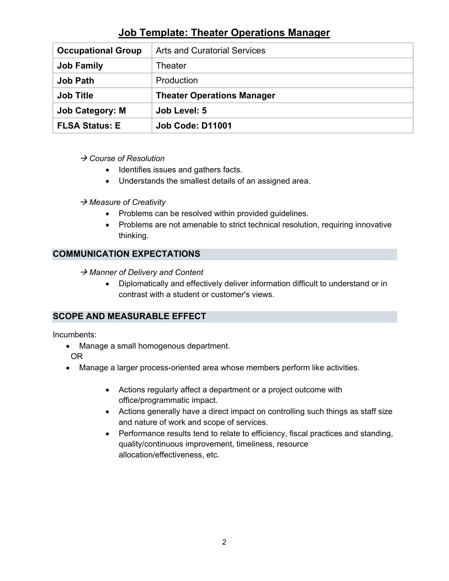| <b>Occupational Group</b> | <b>Arts and Curatorial Services</b> |
|---------------------------|-------------------------------------|
| <b>Job Family</b>         | Theater                             |
| <b>Job Path</b>           | Production                          |
| <b>Job Title</b>          | <b>Theater Operations Manager</b>   |
|                           |                                     |
| <b>Job Category: M</b>    | Job Level: 5                        |

#### *Course of Resolution*

- Identifies issues and gathers facts.
- Understands the smallest details of an assigned area.

#### *Measure of Creativity*

- Problems can be resolved within provided guidelines.
- Problems are not amenable to strict technical resolution, requiring innovative thinking.

### **COMMUNICATION EXPECTATIONS**

→ Manner of Delivery and Content

• Diplomatically and effectively deliver information difficult to understand or in contrast with a student or customer's views.

### **SCOPE AND MEASURABLE EFFECT**

Incumbents:

- Manage a small homogenous department. OR
- Manage a larger process-oriented area whose members perform like activities.
	- Actions regularly affect a department or a project outcome with office/programmatic impact.
	- Actions generally have a direct impact on controlling such things as staff size and nature of work and scope of services.
	- Performance results tend to relate to efficiency, fiscal practices and standing, quality/continuous improvement, timeliness, resource allocation/effectiveness, etc.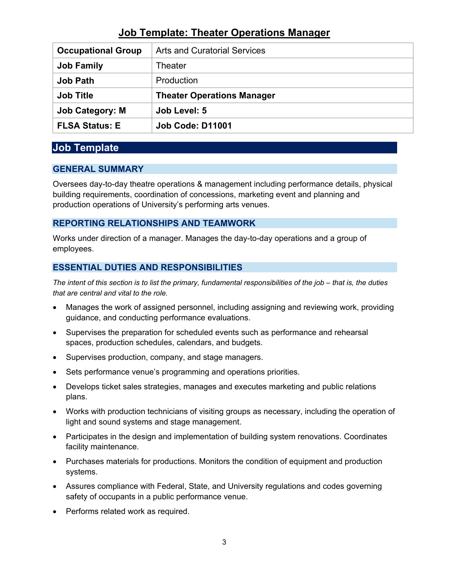| <b>Occupational Group</b> | <b>Arts and Curatorial Services</b> |
|---------------------------|-------------------------------------|
| <b>Job Family</b>         | Theater                             |
| <b>Job Path</b>           | Production                          |
|                           |                                     |
| <b>Job Title</b>          | <b>Theater Operations Manager</b>   |
| <b>Job Category: M</b>    | Job Level: 5                        |

### **Job Template**

#### **GENERAL SUMMARY**

Oversees day-to-day theatre operations & management including performance details, physical building requirements, coordination of concessions, marketing event and planning and production operations of University's performing arts venues.

### **REPORTING RELATIONSHIPS AND TEAMWORK**

Works under direction of a manager. Manages the day-to-day operations and a group of employees.

### **ESSENTIAL DUTIES AND RESPONSIBILITIES**

*The intent of this section is to list the primary, fundamental responsibilities of the job – that is, the duties that are central and vital to the role.*

- Manages the work of assigned personnel, including assigning and reviewing work, providing guidance, and conducting performance evaluations.
- Supervises the preparation for scheduled events such as performance and rehearsal spaces, production schedules, calendars, and budgets.
- Supervises production, company, and stage managers.
- Sets performance venue's programming and operations priorities.
- Develops ticket sales strategies, manages and executes marketing and public relations plans.
- Works with production technicians of visiting groups as necessary, including the operation of light and sound systems and stage management.
- Participates in the design and implementation of building system renovations. Coordinates facility maintenance.
- Purchases materials for productions. Monitors the condition of equipment and production systems.
- Assures compliance with Federal, State, and University regulations and codes governing safety of occupants in a public performance venue.
- Performs related work as required.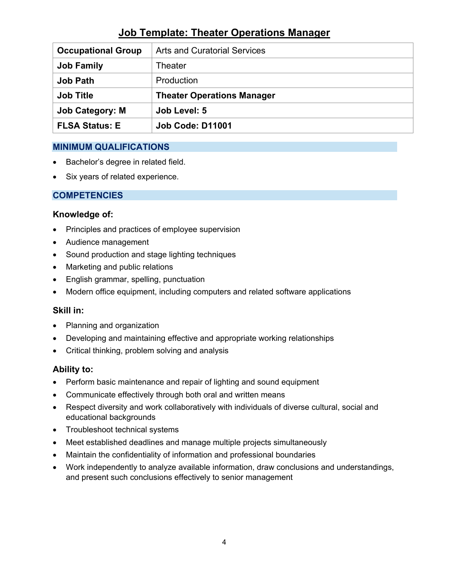| <b>Occupational Group</b> | <b>Arts and Curatorial Services</b> |
|---------------------------|-------------------------------------|
| <b>Job Family</b>         | Theater                             |
| <b>Job Path</b>           | Production                          |
| <b>Job Title</b>          | <b>Theater Operations Manager</b>   |
| <b>Job Category: M</b>    | Job Level: 5                        |
| <b>FLSA Status: E</b>     | <b>Job Code: D11001</b>             |

### **MINIMUM QUALIFICATIONS**

- Bachelor's degree in related field.
- Six years of related experience.

### **COMPETENCIES**

#### **Knowledge of:**

- Principles and practices of employee supervision
- Audience management
- Sound production and stage lighting techniques
- Marketing and public relations
- English grammar, spelling, punctuation
- Modern office equipment, including computers and related software applications

### **Skill in:**

- Planning and organization
- Developing and maintaining effective and appropriate working relationships
- Critical thinking, problem solving and analysis

### **Ability to:**

- Perform basic maintenance and repair of lighting and sound equipment
- Communicate effectively through both oral and written means
- Respect diversity and work collaboratively with individuals of diverse cultural, social and educational backgrounds
- Troubleshoot technical systems
- Meet established deadlines and manage multiple projects simultaneously
- Maintain the confidentiality of information and professional boundaries
- Work independently to analyze available information, draw conclusions and understandings, and present such conclusions effectively to senior management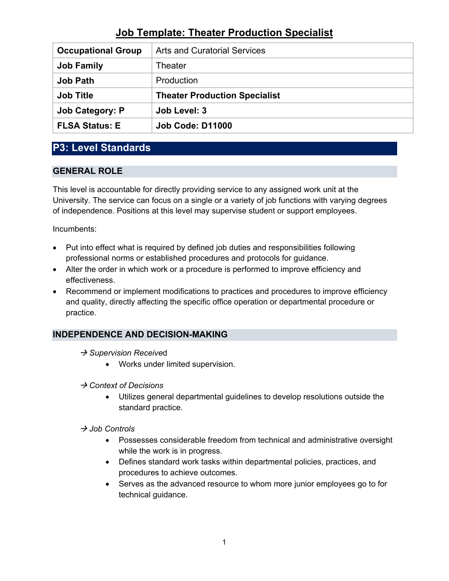| <b>Occupational Group</b> | <b>Arts and Curatorial Services</b>  |
|---------------------------|--------------------------------------|
| <b>Job Family</b>         | Theater                              |
| <b>Job Path</b>           | Production                           |
| <b>Job Title</b>          | <b>Theater Production Specialist</b> |
|                           |                                      |
| <b>Job Category: P</b>    | Job Level: 3                         |

## **P3: Level Standards**

### **GENERAL ROLE**

This level is accountable for directly providing service to any assigned work unit at the University. The service can focus on a single or a variety of job functions with varying degrees of independence. Positions at this level may supervise student or support employees.

Incumbents:

- Put into effect what is required by defined job duties and responsibilities following professional norms or established procedures and protocols for guidance.
- Alter the order in which work or a procedure is performed to improve efficiency and effectiveness.
- Recommend or implement modifications to practices and procedures to improve efficiency and quality, directly affecting the specific office operation or departmental procedure or practice.

## **INDEPENDENCE AND DECISION-MAKING**

- **→ Supervision Received** 
	- Works under limited supervision.
- *Context of Decisions*
	- Utilizes general departmental guidelines to develop resolutions outside the standard practice.

#### *Job Controls*

- Possesses considerable freedom from technical and administrative oversight while the work is in progress.
- Defines standard work tasks within departmental policies, practices, and procedures to achieve outcomes.
- Serves as the advanced resource to whom more junior employees go to for technical guidance.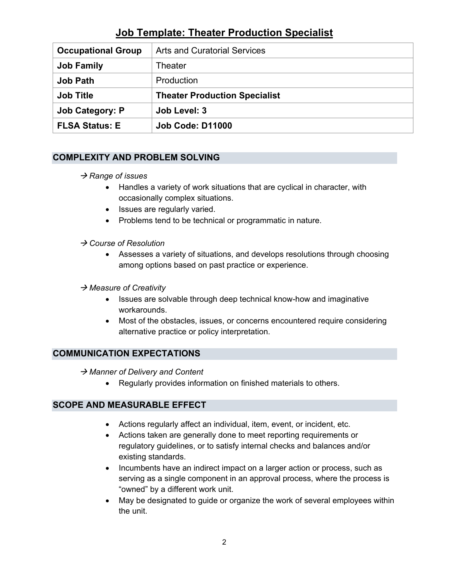| <b>Occupational Group</b> | <b>Arts and Curatorial Services</b>  |
|---------------------------|--------------------------------------|
| <b>Job Family</b>         | Theater                              |
| <b>Job Path</b>           | Production                           |
| <b>Job Title</b>          | <b>Theater Production Specialist</b> |
|                           |                                      |
| <b>Job Category: P</b>    | Job Level: 3                         |

### **COMPLEXITY AND PROBLEM SOLVING**

#### **→ Range of issues**

- Handles a variety of work situations that are cyclical in character, with occasionally complex situations.
- Issues are regularly varied.
- Problems tend to be technical or programmatic in nature.

#### *Course of Resolution*

• Assesses a variety of situations, and develops resolutions through choosing among options based on past practice or experience.

#### *Measure of Creativity*

- Issues are solvable through deep technical know-how and imaginative workarounds.
- Most of the obstacles, issues, or concerns encountered require considering alternative practice or policy interpretation.

### **COMMUNICATION EXPECTATIONS**

→ Manner of Delivery and Content

• Regularly provides information on finished materials to others.

### **SCOPE AND MEASURABLE EFFECT**

- Actions regularly affect an individual, item, event, or incident, etc.
- Actions taken are generally done to meet reporting requirements or regulatory guidelines, or to satisfy internal checks and balances and/or existing standards.
- Incumbents have an indirect impact on a larger action or process, such as serving as a single component in an approval process, where the process is "owned" by a different work unit.
- May be designated to guide or organize the work of several employees within the unit.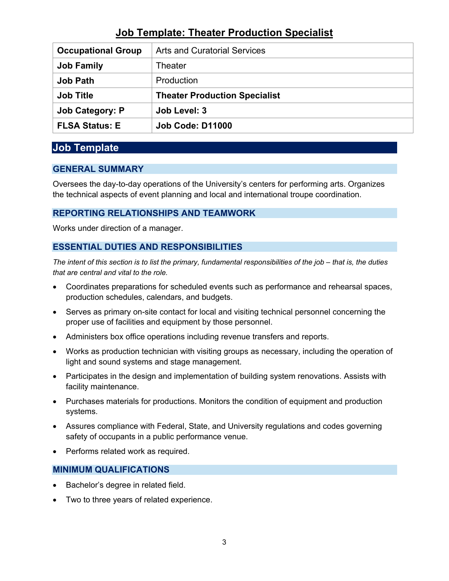| <b>Occupational Group</b> | <b>Arts and Curatorial Services</b>  |
|---------------------------|--------------------------------------|
| <b>Job Family</b>         | Theater                              |
| <b>Job Path</b>           | Production                           |
| <b>Job Title</b>          |                                      |
|                           | <b>Theater Production Specialist</b> |
| <b>Job Category: P</b>    | Job Level: 3                         |

## **Job Template**

### **GENERAL SUMMARY**

Oversees the day-to-day operations of the University's centers for performing arts. Organizes the technical aspects of event planning and local and international troupe coordination.

### **REPORTING RELATIONSHIPS AND TEAMWORK**

Works under direction of a manager.

### **ESSENTIAL DUTIES AND RESPONSIBILITIES**

*The intent of this section is to list the primary, fundamental responsibilities of the job – that is, the duties that are central and vital to the role.*

- Coordinates preparations for scheduled events such as performance and rehearsal spaces, production schedules, calendars, and budgets.
- Serves as primary on-site contact for local and visiting technical personnel concerning the proper use of facilities and equipment by those personnel.
- Administers box office operations including revenue transfers and reports.
- Works as production technician with visiting groups as necessary, including the operation of light and sound systems and stage management.
- Participates in the design and implementation of building system renovations. Assists with facility maintenance.
- Purchases materials for productions. Monitors the condition of equipment and production systems.
- Assures compliance with Federal, State, and University regulations and codes governing safety of occupants in a public performance venue.
- Performs related work as required.

### **MINIMUM QUALIFICATIONS**

- Bachelor's degree in related field.
- Two to three years of related experience.